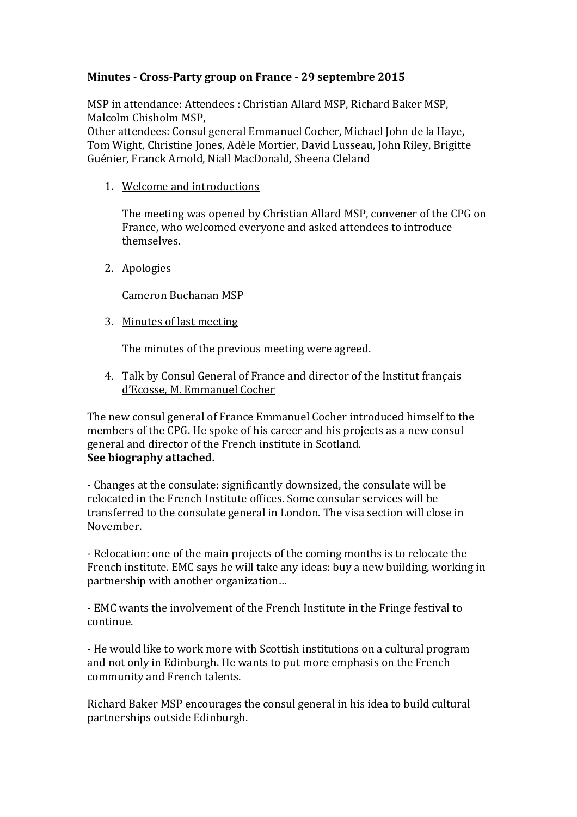## **Minutes - Cross-Party group on France - 29 septembre 2015**

MSP in attendance: Attendees : Christian Allard MSP, Richard Baker MSP, Malcolm Chisholm MSP,

Other attendees: Consul general Emmanuel Cocher, Michael John de la Haye, Tom Wight, Christine Jones, Adèle Mortier, David Lusseau, John Riley, Brigitte Guénier, Franck Arnold, Niall MacDonald, Sheena Cleland

1. Welcome and introductions

The meeting was opened by Christian Allard MSP, convener of the CPG on France, who welcomed everyone and asked attendees to introduce themselves.

2. Apologies

Cameron Buchanan MSP

3. Minutes of last meeting

The minutes of the previous meeting were agreed.

4. Talk by Consul General of France and director of the Institut français d'Ecosse, M. Emmanuel Cocher

The new consul general of France Emmanuel Cocher introduced himself to the members of the CPG. He spoke of his career and his projects as a new consul general and director of the French institute in Scotland. **See biography attached.** 

- Changes at the consulate: significantly downsized, the consulate will be relocated in the French Institute offices. Some consular services will be transferred to the consulate general in London. The visa section will close in November.

- Relocation: one of the main projects of the coming months is to relocate the French institute. EMC says he will take any ideas: buy a new building, working in partnership with another organization…

- EMC wants the involvement of the French Institute in the Fringe festival to continue.

- He would like to work more with Scottish institutions on a cultural program and not only in Edinburgh. He wants to put more emphasis on the French community and French talents.

Richard Baker MSP encourages the consul general in his idea to build cultural partnerships outside Edinburgh.